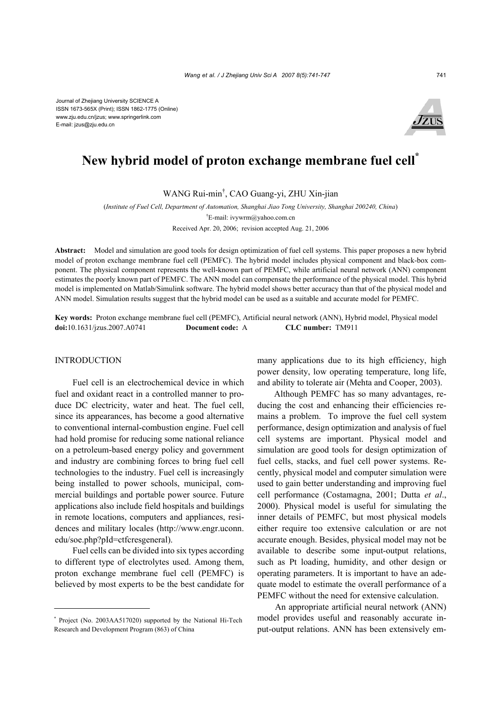Journal of Zhejiang University SCIENCE A ISSN 1673-565X (Print); ISSN 1862-1775 (Online) www.zju.edu.cn/jzus; www.springerlink.com E-mail: jzus@zju.edu.cn



# **New hybrid model of proton exchange membrane fuel cell\***

WANG Rui-min† , CAO Guang-yi, ZHU Xin-jian

(*Institute of Fuel Cell, Department of Automation, Shanghai Jiao Tong University, Shanghai 200240, China*) † E-mail: ivywrm@yahoo.com.cn Received Apr. 20, 2006; revision accepted Aug. 21, 2006

**Abstract:** Model and simulation are good tools for design optimization of fuel cell systems. This paper proposes a new hybrid model of proton exchange membrane fuel cell (PEMFC). The hybrid model includes physical component and black-box component. The physical component represents the well-known part of PEMFC, while artificial neural network (ANN) component estimates the poorly known part of PEMFC. The ANN model can compensate the performance of the physical model. This hybrid model is implemented on Matlab/Simulink software. The hybrid model shows better accuracy than that of the physical model and ANN model. Simulation results suggest that the hybrid model can be used as a suitable and accurate model for PEMFC.

**Key words:** Proton exchange membrane fuel cell (PEMFC), Artificial neural network (ANN), Hybrid model, Physical model **doi:**10.1631/jzus.2007.A0741 **Document code:** A **CLC number:** TM911

# INTRODUCTION

Fuel cell is an electrochemical device in which fuel and oxidant react in a controlled manner to produce DC electricity, water and heat. The fuel cell, since its appearances, has become a good alternative to conventional internal-combustion engine. Fuel cell had hold promise for reducing some national reliance on a petroleum-based energy policy and government and industry are combining forces to bring fuel cell technologies to the industry. Fuel cell is increasingly being installed to power schools, municipal, commercial buildings and portable power source. Future applications also include field hospitals and buildings in remote locations, computers and appliances, residences and military locales (http://www.engr.uconn. edu/soe.php?pId=ctfcresgeneral).

Fuel cells can be divided into six types according to different type of electrolytes used. Among them, proton exchange membrane fuel cell (PEMFC) is believed by most experts to be the best candidate for many applications due to its high efficiency, high power density, low operating temperature, long life, and ability to tolerate air (Mehta and Cooper, 2003).

Although PEMFC has so many advantages, reducing the cost and enhancing their efficiencies remains a problem. To improve the fuel cell system performance, design optimization and analysis of fuel cell systems are important. Physical model and simulation are good tools for design optimization of fuel cells, stacks, and fuel cell power systems. Recently, physical model and computer simulation were used to gain better understanding and improving fuel cell performance (Costamagna, 2001; Dutta *et al*., 2000). Physical model is useful for simulating the inner details of PEMFC, but most physical models either require too extensive calculation or are not accurate enough. Besides, physical model may not be available to describe some input-output relations, such as Pt loading, humidity, and other design or operating parameters. It is important to have an adequate model to estimate the overall performance of a PEMFC without the need for extensive calculation.

An appropriate artificial neural network (ANN) model provides useful and reasonably accurate input-output relations. ANN has been extensively em-

<sup>\*</sup> Project (No. 2003AA517020) supported by the National Hi-Tech Research and Development Program (863) of China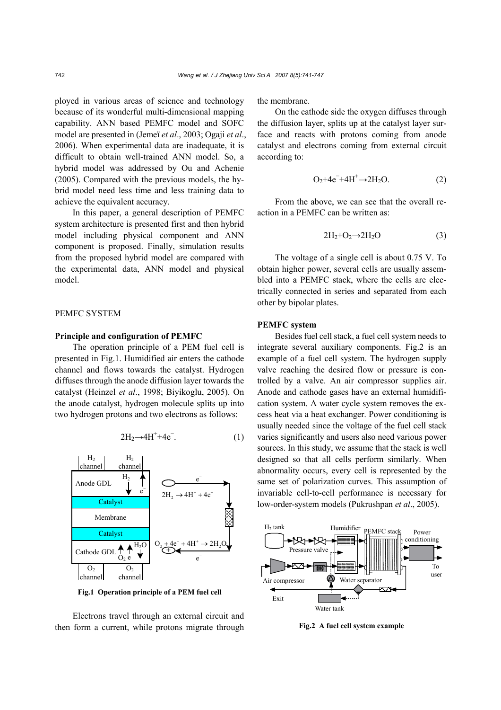ployed in various areas of science and technology because of its wonderful multi-dimensional mapping capability. ANN based PEMFC model and SOFC model are presented in (Jemeï *et al*., 2003; Ogaji *et al*., 2006). When experimental data are inadequate, it is difficult to obtain well-trained ANN model. So, a hybrid model was addressed by Ou and Achenie (2005). Compared with the previous models, the hybrid model need less time and less training data to achieve the equivalent accuracy.

In this paper, a general description of PEMFC system architecture is presented first and then hybrid model including physical component and ANN component is proposed. Finally, simulation results from the proposed hybrid model are compared with the experimental data, ANN model and physical model.

# PEMFC SYSTEM

## **Principle and configuration of PEMFC**

The operation principle of a PEM fuel cell is presented in Fig.1. Humidified air enters the cathode channel and flows towards the catalyst. Hydrogen diffuses through the anode diffusion layer towards the catalyst (Heinzel *et al*., 1998; Biyikoglu, 2005). On the anode catalyst, hydrogen molecule splits up into two hydrogen protons and two electrons as follows:

$$
2H_2 \rightarrow 4H^+ + 4e^-.
$$
 (1)



**Fig.1 Operation principle of a PEM fuel cell**

Electrons travel through an external circuit and then form a current, while protons migrate through the membrane.

On the cathode side the oxygen diffuses through the diffusion layer, splits up at the catalyst layer surface and reacts with protons coming from anode catalyst and electrons coming from external circuit according to:

$$
O_2 + 4e^- + 4H^+ \rightarrow 2H_2O. \tag{2}
$$

From the above, we can see that the overall reaction in a PEMFC can be written as:

$$
2H_2 + O_2 \rightarrow 2H_2O \tag{3}
$$

The voltage of a single cell is about 0.75 V. To obtain higher power, several cells are usually assembled into a PEMFC stack, where the cells are electrically connected in series and separated from each other by bipolar plates.

## **PEMFC system**

Besides fuel cell stack, a fuel cell system needs to integrate several auxiliary components. Fig.2 is an example of a fuel cell system. The hydrogen supply valve reaching the desired flow or pressure is controlled by a valve. An air compressor supplies air. Anode and cathode gases have an external humidification system. A water cycle system removes the excess heat via a heat exchanger. Power conditioning is usually needed since the voltage of the fuel cell stack varies significantly and users also need various power sources. In this study, we assume that the stack is well designed so that all cells perform similarly. When abnormality occurs, every cell is represented by the same set of polarization curves. This assumption of invariable cell-to-cell performance is necessary for low-order-system models (Pukrushpan *et al*., 2005).



**Fig.2 A fuel cell system example**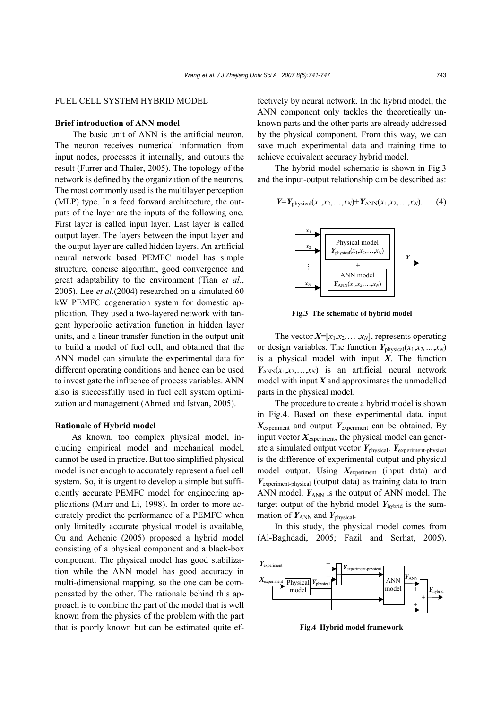# FUEL CELL SYSTEM HYBRID MODEL

# **Brief introduction of ANN model**

The basic unit of ANN is the artificial neuron. The neuron receives numerical information from input nodes, processes it internally, and outputs the result (Furrer and Thaler, 2005). The topology of the network is defined by the organization of the neurons. The most commonly used is the multilayer perception (MLP) type. In a feed forward architecture, the outputs of the layer are the inputs of the following one. First layer is called input layer. Last layer is called output layer. The layers between the input layer and the output layer are called hidden layers. An artificial neural network based PEMFC model has simple structure, concise algorithm, good convergence and great adaptability to the environment (Tian *et al*., 2005). Lee *et al*.(2004) researched on a simulated 60 kW PEMFC cogeneration system for domestic application. They used a two-layered network with tangent hyperbolic activation function in hidden layer units, and a linear transfer function in the output unit to build a model of fuel cell, and obtained that the ANN model can simulate the experimental data for different operating conditions and hence can be used to investigate the influence of process variables. ANN also is successfully used in fuel cell system optimization and management (Ahmed and Istvan, 2005).

#### **Rationale of Hybrid model**

As known, too complex physical model, including empirical model and mechanical model, cannot be used in practice. But too simplified physical model is not enough to accurately represent a fuel cell system. So, it is urgent to develop a simple but sufficiently accurate PEMFC model for engineering applications (Marr and Li, 1998). In order to more accurately predict the performance of a PEMFC when only limitedly accurate physical model is available, Ou and Achenie (2005) proposed a hybrid model consisting of a physical component and a black-box component. The physical model has good stabilization while the ANN model has good accuracy in multi-dimensional mapping, so the one can be compensated by the other. The rationale behind this approach is to combine the part of the model that is well known from the physics of the problem with the part that is poorly known but can be estimated quite effectively by neural network. In the hybrid model, the ANN component only tackles the theoretically unknown parts and the other parts are already addressed by the physical component. From this way, we can save much experimental data and training time to achieve equivalent accuracy hybrid model.

The hybrid model schematic is shown in Fig.3 and the input-output relationship can be described as:

$$
Y=Yphysical(x1,x2,...,xN)+YANN(x1,x2,...,xN).
$$
 (4)



**Fig.3 The schematic of hybrid model**

The vector  $X=[x_1,x_2,...,x_N]$ , represents operating or design variables. The function  $Y_{\text{physical}}(x_1, x_2, \ldots, x_N)$ is a physical model with input *X*. The function  $Y_{\text{ANN}}(x_1, x_2, \ldots, x_N)$  is an artificial neural network model with input  $X$  and approximates the unmodelled parts in the physical model.

The procedure to create a hybrid model is shown in Fig.4. Based on these experimental data, input *X*experiment and output *Y*experiment can be obtained. By input vector *X*experiment, the physical model can generate a simulated output vector  $Y_{\text{physical}}$ .  $Y_{\text{experiment-physical}}$ is the difference of experimental output and physical model output. Using *X*experiment (input data) and *Y*experiment-physical (output data) as training data to train ANN model.  $Y_{ANN}$  is the output of ANN model. The target output of the hybrid model  $Y_{\text{hybrid}}$  is the summation of  $Y_{\text{ANN}}$  and  $Y_{\text{physical}}$ .

In this study, the physical model comes from (Al-Baghdadi, 2005; Fazil and Serhat, 2005).



**Fig.4 Hybrid model framework**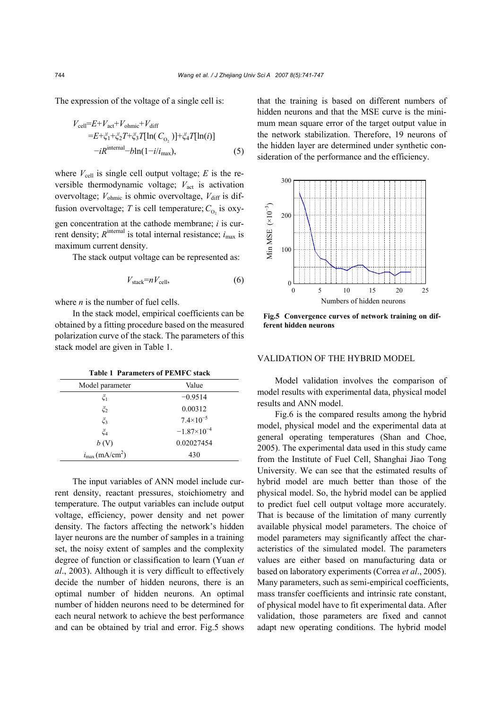The expression of the voltage of a single cell is:

$$
V_{\text{cell}}=E+V_{\text{act}}+V_{\text{ohmic}}+V_{\text{diff}}
$$
  
=
$$
E+\zeta_1+\zeta_2T+\zeta_3T[\ln(C_{O_2})]+\zeta_4T[\ln(i)]
$$
  
-
$$
-iR^{\text{internal}}-b\ln(1-i/i_{\text{max}}),
$$
 (5)

where  $V_{\text{cell}}$  is single cell output voltage; *E* is the reversible thermodynamic voltage;  $V<sub>act</sub>$  is activation overvoltage;  $V_{\text{ohmic}}$  is ohmic overvoltage,  $V_{\text{diff}}$  is diffusion overvoltage; *T* is cell temperature;  $C_{0}$  is oxygen concentration at the cathode membrane; *i* is current density;  $R^{\text{internal}}$  is total internal resistance;  $i_{\text{max}}$  is

The stack output voltage can be represented as:

$$
V_{\text{stack}} = nV_{\text{cell}},\tag{6}
$$

where *n* is the number of fuel cells.

maximum current density.

In the stack model, empirical coefficients can be obtained by a fitting procedure based on the measured polarization curve of the stack. The parameters of this stack model are given in Table 1.

|  | <b>Table 1 Parameters of PEMFC stack</b> |
|--|------------------------------------------|
|  |                                          |

| Model parameter                        | Value                |  |  |
|----------------------------------------|----------------------|--|--|
| $\zeta_1$                              | $-0.9514$            |  |  |
| $\zeta_2$                              | 0.00312              |  |  |
| $\zeta_3$                              | $7.4\times10^{-5}$   |  |  |
| ζ4                                     | $-1.87\times10^{-4}$ |  |  |
| b(V)                                   | 0.02027454           |  |  |
| $i_{\text{max}}$ (mA/cm <sup>2</sup> ) | 430                  |  |  |

The input variables of ANN model include current density, reactant pressures, stoichiometry and temperature. The output variables can include output voltage, efficiency, power density and net power density. The factors affecting the network's hidden layer neurons are the number of samples in a training set, the noisy extent of samples and the complexity degree of function or classification to learn (Yuan *et al*., 2003). Although it is very difficult to effectively decide the number of hidden neurons, there is an optimal number of hidden neurons. An optimal number of hidden neurons need to be determined for each neural network to achieve the best performance and can be obtained by trial and error. Fig.5 shows that the training is based on different numbers of hidden neurons and that the MSE curve is the minimum mean square error of the target output value in the network stabilization. Therefore, 19 neurons of the hidden layer are determined under synthetic consideration of the performance and the efficiency.



**Fig.5 Convergence curves of network training on different hidden neurons**

# VALIDATION OF THE HYBRID MODEL

Model validation involves the comparison of model results with experimental data, physical model results and ANN model.

Fig.6 is the compared results among the hybrid model, physical model and the experimental data at general operating temperatures (Shan and Choe, 2005). The experimental data used in this study came from the Institute of Fuel Cell, Shanghai Jiao Tong University. We can see that the estimated results of hybrid model are much better than those of the physical model. So, the hybrid model can be applied to predict fuel cell output voltage more accurately. That is because of the limitation of many currently available physical model parameters. The choice of model parameters may significantly affect the characteristics of the simulated model. The parameters values are either based on manufacturing data or based on laboratory experiments (Correa *et al*., 2005). Many parameters, such as semi-empirical coefficients, mass transfer coefficients and intrinsic rate constant, of physical model have to fit experimental data. After validation, those parameters are fixed and cannot adapt new operating conditions. The hybrid model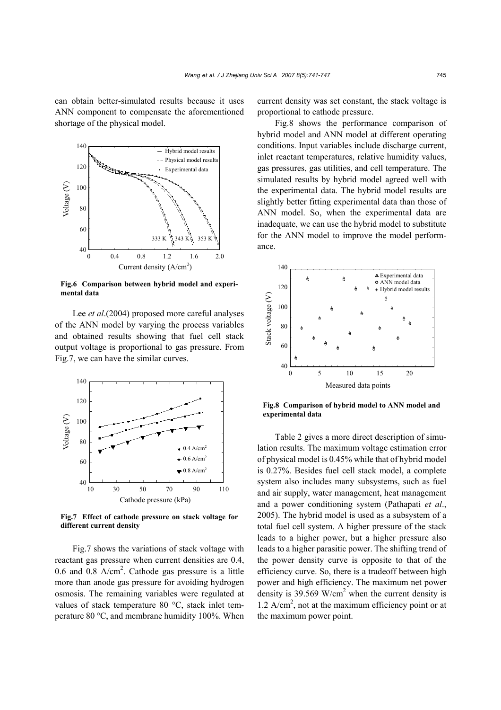can obtain better-simulated results because it uses ANN component to compensate the aforementioned shortage of the physical model.



**Fig.6 Comparison between hybrid model and experimental data**

Lee *et al*.(2004) proposed more careful analyses of the ANN model by varying the process variables and obtained results showing that fuel cell stack output voltage is proportional to gas pressure. From Fig.7, we can have the similar curves.



**Fig.7 Effect of cathode pressure on stack voltage for different current density**

Fig.7 shows the variations of stack voltage with reactant gas pressure when current densities are 0.4, 0.6 and 0.8  $A/cm<sup>2</sup>$ . Cathode gas pressure is a little more than anode gas pressure for avoiding hydrogen osmosis. The remaining variables were regulated at values of stack temperature 80 °C, stack inlet temperature 80 °C, and membrane humidity 100%. When

current density was set constant, the stack voltage is proportional to cathode pressure.

Fig.8 shows the performance comparison of hybrid model and ANN model at different operating conditions. Input variables include discharge current, inlet reactant temperatures, relative humidity values, gas pressures, gas utilities, and cell temperature. The simulated results by hybrid model agreed well with the experimental data. The hybrid model results are slightly better fitting experimental data than those of ANN model. So, when the experimental data are inadequate, we can use the hybrid model to substitute for the ANN model to improve the model performance.



**Fig.8 Comparison of hybrid model to ANN model and experimental data**

Table 2 gives a more direct description of simulation results. The maximum voltage estimation error of physical model is 0.45% while that of hybrid model is 0.27%. Besides fuel cell stack model, a complete system also includes many subsystems, such as fuel and air supply, water management, heat management and a power conditioning system (Pathapati *et al*., 2005). The hybrid model is used as a subsystem of a total fuel cell system. A higher pressure of the stack leads to a higher power, but a higher pressure also leads to a higher parasitic power. The shifting trend of the power density curve is opposite to that of the efficiency curve. So, there is a tradeoff between high power and high efficiency. The maximum net power density is 39.569 W/cm<sup>2</sup> when the current density is  $1.2$  A/cm<sup>2</sup>, not at the maximum efficiency point or at the maximum power point.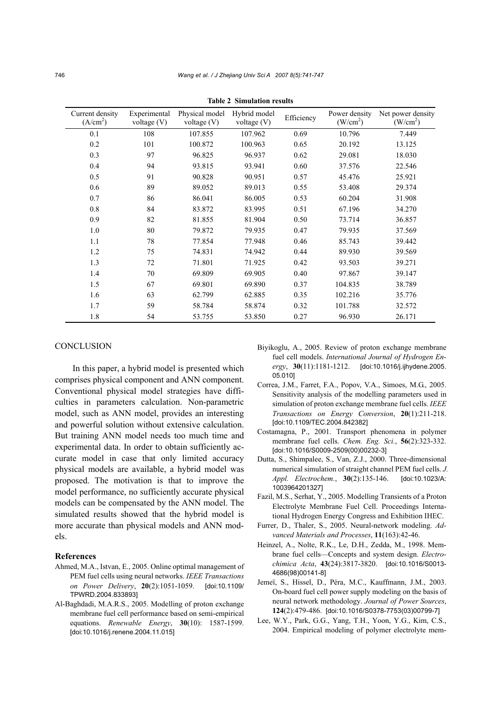| Current density<br>(A/cm <sup>2</sup> ) | Experimental<br>voltage $(V)$ | Physical model<br>voltage (V) | Hybrid model<br>voltage $(V)$ | Efficiency | Power density<br>(W/cm <sup>2</sup> ) | Net power density<br>(W/cm <sup>2</sup> ) |
|-----------------------------------------|-------------------------------|-------------------------------|-------------------------------|------------|---------------------------------------|-------------------------------------------|
| 0.1                                     | 108                           | 107.855                       | 107.962                       | 0.69       | 10.796                                | 7.449                                     |
| 0.2                                     | 101                           | 100.872                       | 100.963                       | 0.65       | 20.192                                | 13.125                                    |
| 0.3                                     | 97                            | 96.825                        | 96.937                        | 0.62       | 29.081                                | 18.030                                    |
| 0.4                                     | 94                            | 93.815                        | 93.941                        | 0.60       | 37.576                                | 22.546                                    |
| 0.5                                     | 91                            | 90.828                        | 90.951                        | 0.57       | 45.476                                | 25.921                                    |
| 0.6                                     | 89                            | 89.052                        | 89.013                        | 0.55       | 53.408                                | 29.374                                    |
| 0.7                                     | 86                            | 86.041                        | 86.005                        | 0.53       | 60.204                                | 31.908                                    |
| 0.8                                     | 84                            | 83.872                        | 83.995                        | 0.51       | 67.196                                | 34.270                                    |
| 0.9                                     | 82                            | 81.855                        | 81.904                        | 0.50       | 73.714                                | 36.857                                    |
| 1.0                                     | 80                            | 79.872                        | 79.935                        | 0.47       | 79.935                                | 37.569                                    |
| 1.1                                     | 78                            | 77.854                        | 77.948                        | 0.46       | 85.743                                | 39.442                                    |
| 1.2                                     | 75                            | 74.831                        | 74.942                        | 0.44       | 89.930                                | 39.569                                    |
| 1.3                                     | 72                            | 71.801                        | 71.925                        | 0.42       | 93.503                                | 39.271                                    |
| 1.4                                     | 70                            | 69.809                        | 69.905                        | 0.40       | 97.867                                | 39.147                                    |
| 1.5                                     | 67                            | 69.801                        | 69.890                        | 0.37       | 104.835                               | 38.789                                    |
| 1.6                                     | 63                            | 62.799                        | 62.885                        | 0.35       | 102.216                               | 35.776                                    |
| 1.7                                     | 59                            | 58.784                        | 58.874                        | 0.32       | 101.788                               | 32.572                                    |
| 1.8                                     | 54                            | 53.755                        | 53.850                        | 0.27       | 96.930                                | 26.171                                    |

**Table 2 Simulation results** 

### **CONCLUSION**

In this paper, a hybrid model is presented which comprises physical component and ANN component. Conventional physical model strategies have difficulties in parameters calculation. Non-parametric model, such as ANN model, provides an interesting and powerful solution without extensive calculation. But training ANN model needs too much time and experimental data. In order to obtain sufficiently accurate model in case that only limited accuracy physical models are available, a hybrid model was proposed. The motivation is that to improve the model performance, no sufficiently accurate physical models can be compensated by the ANN model. The simulated results showed that the hybrid model is more accurate than physical models and ANN models.

#### **References**

- Ahmed, M.A., Istvan, E., 2005. Online optimal management of PEM fuel cells using neural networks. *IEEE Transactions on Power Delivery*, **20**(2):1051-1059. [doi:10.1109/ TPWRD.2004.833893]
- Al-Baghdadi, M.A.R.S., 2005. Modelling of proton exchange membrane fuel cell performance based on semi-empirical equations. *Renewable Energy*, **30**(10): 1587-1599. [doi:10.1016/j.renene.2004.11.015]
- Biyikoglu, A., 2005. Review of proton exchange membrane fuel cell models. *International Journal of Hydrogen Energy*, **30**(11):1181-1212. [doi:10.1016/j.ijhydene.2005. 05.010]
- Correa, J.M., Farret, F.A., Popov, V.A., Simoes, M.G., 2005. Sensitivity analysis of the modelling parameters used in simulation of proton exchange membrane fuel cells. *IEEE Transactions on Energy Conversion*, **20**(1):211-218. [doi:10.1109/TEC.2004.842382]
- Costamagna, P., 2001. Transport phenomena in polymer membrane fuel cells. *Chem. Eng. Sci.*, **56**(2):323-332. [doi:10.1016/S0009-2509(00)00232-3]
- Dutta, S., Shimpalee, S., Van, Z.J., 2000. Three-dimensional numerical simulation of straight channel PEM fuel cells. *J. Appl. Electrochem.*, **30**(2):135-146. [doi:10.1023/A: 1003964201327]
- Fazil, M.S., Serhat, Y., 2005. Modelling Transients of a Proton Electrolyte Membrane Fuel Cell. Proceedings International Hydrogen Energy Congress and Exhibition IHEC.
- Furrer, D., Thaler, S., 2005. Neural-network modeling. *Advanced Materials and Processes*, **11**(163):42-46.
- Heinzel, A., Nolte, R.K., Le, D.H., Zedda, M., 1998. Membrane fuel cells—Concepts and system design. *Electrochimica Acta*, **43**(24):3817-3820. [doi:10.1016/S0013- 4686(98)00141-8]
- Jemeï, S., Hissel, D., Péra, M.C., Kauffmann, J.M., 2003. On-board fuel cell power supply modeling on the basis of neural network methodology. *Journal of Power Sources*, **124**(2):479-486. [doi:10.1016/S0378-7753(03)00799-7]
- Lee, W.Y., Park, G.G., Yang, T.H., Yoon, Y.G., Kim, C.S., 2004. Empirical modeling of polymer electrolyte mem-